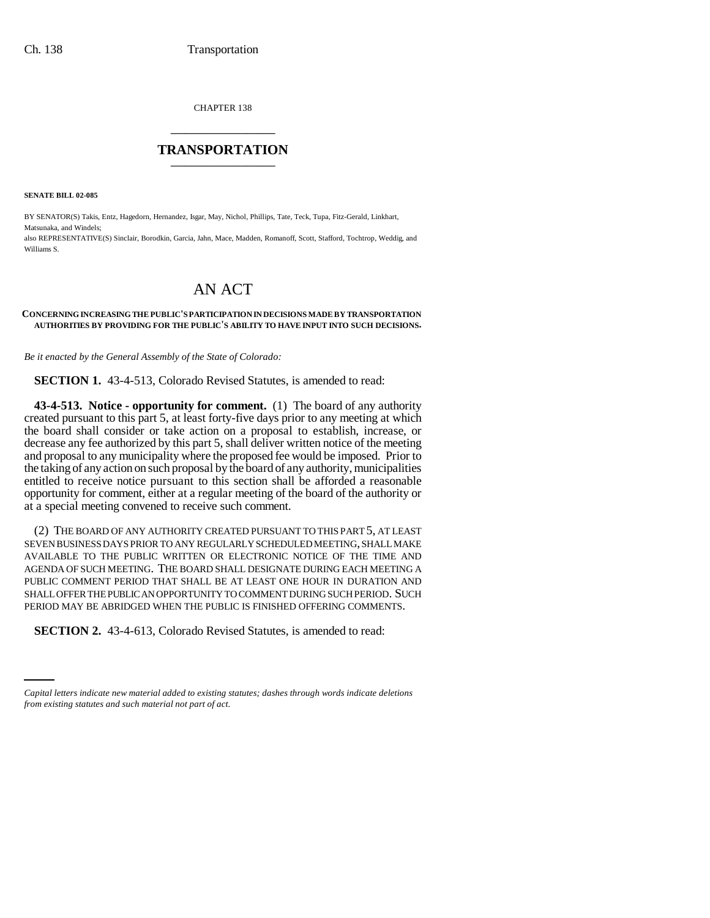CHAPTER 138 \_\_\_\_\_\_\_\_\_\_\_\_\_\_\_

# **TRANSPORTATION** \_\_\_\_\_\_\_\_\_\_\_\_\_\_\_

**SENATE BILL 02-085**

BY SENATOR(S) Takis, Entz, Hagedorn, Hernandez, Isgar, May, Nichol, Phillips, Tate, Teck, Tupa, Fitz-Gerald, Linkhart, Matsunaka, and Windels; also REPRESENTATIVE(S) Sinclair, Borodkin, Garcia, Jahn, Mace, Madden, Romanoff, Scott, Stafford, Tochtrop, Weddig, and Williams S.

# AN ACT

### **CONCERNING INCREASING THE PUBLIC'S PARTICIPATION IN DECISIONS MADE BY TRANSPORTATION AUTHORITIES BY PROVIDING FOR THE PUBLIC'S ABILITY TO HAVE INPUT INTO SUCH DECISIONS.**

*Be it enacted by the General Assembly of the State of Colorado:*

**SECTION 1.** 43-4-513, Colorado Revised Statutes, is amended to read:

**43-4-513. Notice - opportunity for comment.** (1) The board of any authority created pursuant to this part 5, at least forty-five days prior to any meeting at which the board shall consider or take action on a proposal to establish, increase, or decrease any fee authorized by this part 5, shall deliver written notice of the meeting and proposal to any municipality where the proposed fee would be imposed. Prior to the taking of any action on such proposal by the board of any authority, municipalities entitled to receive notice pursuant to this section shall be afforded a reasonable opportunity for comment, either at a regular meeting of the board of the authority or at a special meeting convened to receive such comment.

(2) THE BOARD OF ANY AUTHORITY CREATED PURSUANT TO THIS PART 5, AT LEAST SEVEN BUSINESS DAYS PRIOR TO ANY REGULARLY SCHEDULED MEETING, SHALL MAKE AVAILABLE TO THE PUBLIC WRITTEN OR ELECTRONIC NOTICE OF THE TIME AND AGENDA OF SUCH MEETING. THE BOARD SHALL DESIGNATE DURING EACH MEETING A PUBLIC COMMENT PERIOD THAT SHALL BE AT LEAST ONE HOUR IN DURATION AND SHALL OFFER THE PUBLIC AN OPPORTUNITY TO COMMENT DURING SUCH PERIOD. SUCH PERIOD MAY BE ABRIDGED WHEN THE PUBLIC IS FINISHED OFFERING COMMENTS.

 $\frac{1}{2}$ **SECTION 2.** 43-4-613, Colorado Revised Statutes, is amended to read:

*Capital letters indicate new material added to existing statutes; dashes through words indicate deletions from existing statutes and such material not part of act.*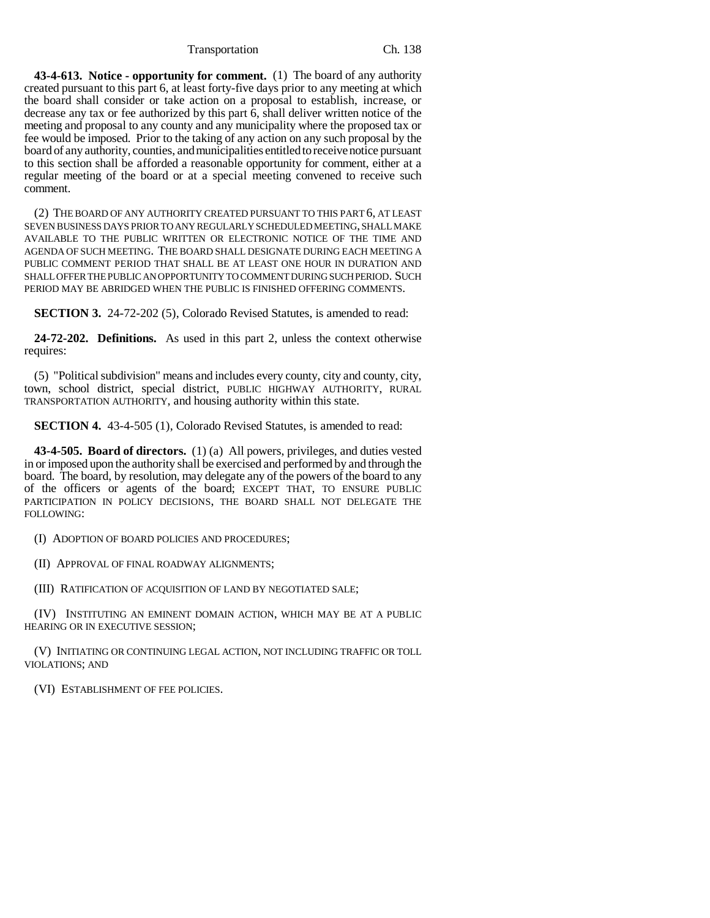Transportation Ch. 138

**43-4-613. Notice - opportunity for comment.** (1) The board of any authority created pursuant to this part 6, at least forty-five days prior to any meeting at which the board shall consider or take action on a proposal to establish, increase, or decrease any tax or fee authorized by this part 6, shall deliver written notice of the meeting and proposal to any county and any municipality where the proposed tax or fee would be imposed. Prior to the taking of any action on any such proposal by the board of any authority, counties, and municipalities entitled to receive notice pursuant to this section shall be afforded a reasonable opportunity for comment, either at a regular meeting of the board or at a special meeting convened to receive such comment.

(2) THE BOARD OF ANY AUTHORITY CREATED PURSUANT TO THIS PART 6, AT LEAST SEVEN BUSINESS DAYS PRIOR TO ANY REGULARLY SCHEDULED MEETING, SHALL MAKE AVAILABLE TO THE PUBLIC WRITTEN OR ELECTRONIC NOTICE OF THE TIME AND AGENDA OF SUCH MEETING. THE BOARD SHALL DESIGNATE DURING EACH MEETING A PUBLIC COMMENT PERIOD THAT SHALL BE AT LEAST ONE HOUR IN DURATION AND SHALL OFFER THE PUBLIC AN OPPORTUNITY TO COMMENT DURING SUCH PERIOD. SUCH PERIOD MAY BE ABRIDGED WHEN THE PUBLIC IS FINISHED OFFERING COMMENTS.

**SECTION 3.** 24-72-202 (5), Colorado Revised Statutes, is amended to read:

**24-72-202. Definitions.** As used in this part 2, unless the context otherwise requires:

(5) "Political subdivision" means and includes every county, city and county, city, town, school district, special district, PUBLIC HIGHWAY AUTHORITY, RURAL TRANSPORTATION AUTHORITY, and housing authority within this state.

**SECTION 4.** 43-4-505 (1), Colorado Revised Statutes, is amended to read:

**43-4-505. Board of directors.** (1) (a) All powers, privileges, and duties vested in or imposed upon the authority shall be exercised and performed by and through the board. The board, by resolution, may delegate any of the powers of the board to any of the officers or agents of the board; EXCEPT THAT, TO ENSURE PUBLIC PARTICIPATION IN POLICY DECISIONS, THE BOARD SHALL NOT DELEGATE THE FOLLOWING:

(I) ADOPTION OF BOARD POLICIES AND PROCEDURES;

(II) APPROVAL OF FINAL ROADWAY ALIGNMENTS;

(III) RATIFICATION OF ACQUISITION OF LAND BY NEGOTIATED SALE;

(IV) INSTITUTING AN EMINENT DOMAIN ACTION, WHICH MAY BE AT A PUBLIC HEARING OR IN EXECUTIVE SESSION;

(V) INITIATING OR CONTINUING LEGAL ACTION, NOT INCLUDING TRAFFIC OR TOLL VIOLATIONS; AND

(VI) ESTABLISHMENT OF FEE POLICIES.